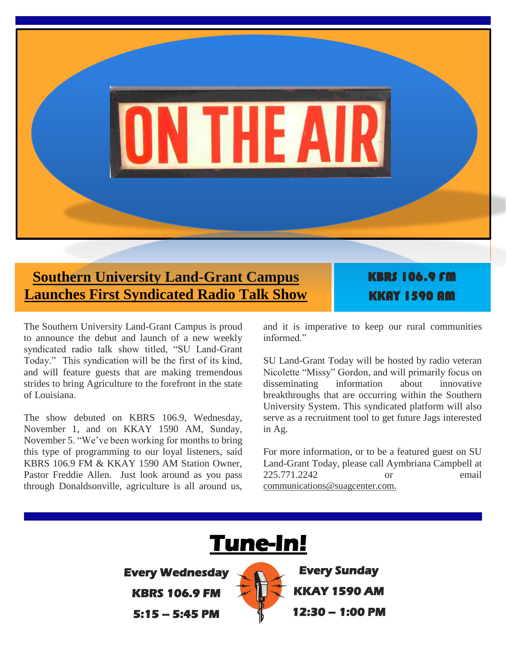

#### **Southern University Land-Grant Campus Launches First Syndicated Radio Talk Show**

KBRS 106.9 FM KKAY 1590 AM

The Southern University Land-Grant Campus is proud to announce the debut and launch of a new weekly syndicated radio talk show titled, "SU Land-Grant Today." This syndication will be the first of its kind, and will feature guests that are making tremendous strides to bring Agriculture to the forefront in the state of Louisiana.

The show debuted on KBRS 106.9, Wednesday, November 1, and on KKAY 1590 AM, Sunday, November 5. "We've been working for months to bring this type of programming to our loyal listeners, said KBRS 106.9 FM & KKAY 1590 AM Station Owner, Pastor Freddie Allen. Just look around as you pass through Donaldsonville, agriculture is all around us, and it is imperative to keep our rural communities informed"

SU Land-Grant Today will be hosted by radio veteran Nicolette "Missy" Gordon, and will primarily focus on disseminating information about innovative breakthroughs that are occurring within the Southern University System. This syndicated platform will also serve as a recruitment tool to get future Jags interested in Ag.

For more information, or to be a featured guest on SU Land-Grant Today, please call Aymbriana Campbell at 225.771.2242 or email [communications@suagcenter.com.](mailto:communications@suagcenter.com)

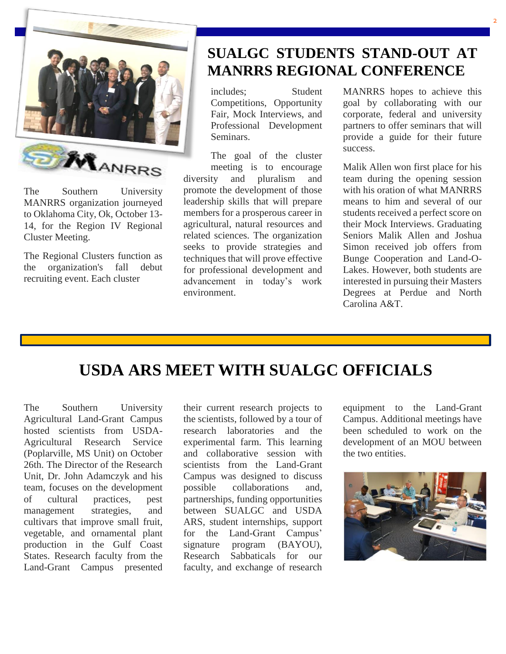

The Southern University MANRRS organization journeyed to Oklahoma City, Ok, October 13- 14, for the Region IV Regional Cluster Meeting.

The Regional Clusters function as the organization's fall debut recruiting event. Each cluster

#### **SUALGC STUDENTS STAND-OUT AT MANRRS REGIONAL CONFERENCE**

includes; Student Competitions, Opportunity Fair, Mock Interviews, and Professional Development Seminars.

The goal of the cluster meeting is to encourage diversity and pluralism and promote the development of those leadership skills that will prepare members for a prosperous career in agricultural, natural resources and related sciences. The organization seeks to provide strategies and techniques that will prove effective for professional development and advancement in today's work environment.

MANRRS hopes to achieve this goal by collaborating with our corporate, federal and university partners to offer seminars that will provide a guide for their future success.

Malik Allen won first place for his team during the opening session with his oration of what MANRRS means to him and several of our students received a perfect score on their Mock Interviews. Graduating Seniors Malik Allen and Joshua Simon received job offers from Bunge Cooperation and Land-O-Lakes. However, both students are interested in pursuing their Masters Degrees at Perdue and North Carolina A&T.

#### **USDA ARS MEET WITH SUALGC OFFICIALS**

The Southern University Agricultural Land-Grant Campus hosted scientists from USDA-Agricultural Research Service (Poplarville, MS Unit) on October 26th. The Director of the Research Unit, Dr. John Adamczyk and his team, focuses on the development of cultural practices, pest management strategies, and cultivars that improve small fruit, vegetable, and ornamental plant production in the Gulf Coast States. Research faculty from the Land-Grant Campus presented

their current research projects to the scientists, followed by a tour of research laboratories and the experimental farm. This learning and collaborative session with scientists from the Land-Grant Campus was designed to discuss possible collaborations and, partnerships, funding opportunities between SUALGC and USDA ARS, student internships, support for the Land-Grant Campus' signature program (BAYOU), Research Sabbaticals for our faculty, and exchange of research equipment to the Land-Grant Campus. Additional meetings have been scheduled to work on the development of an MOU between the two entities.

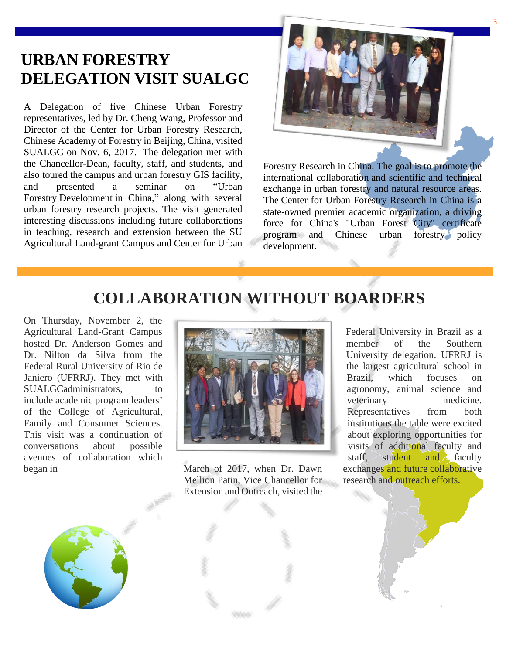#### **URBAN FORESTRY DELEGATION VISIT SUALGC**

A Delegation of five Chinese Urban Forestry representatives, led by Dr. Cheng Wang, Professor and Director of the Center for Urban Forestry Research, Chinese Academy of Forestry in Beijing, China, visited SUALGC on Nov. 6, 2017. The delegation met with the Chancellor-Dean, faculty, staff, and students, and also toured the campus and urban forestry GIS facility, and presented a seminar on "Urban Forestry Development in China," along with several urban forestry research projects. The visit generated interesting discussions including future collaborations in teaching, research and extension between the SU Agricultural Land-grant Campus and Center for Urban



Forestry Research in China. The goal is to promote the international collaboration and scientific and technical exchange in urban forestry and natural resource areas. The Center for Urban Forestry Research in China is a state-owned premier academic organization, a driving force for China's "Urban Forest City" certificate program and Chinese urban forestry policy development. 

#### **COLLABORATION WITHOUT BOARDERS**

On Thursday, November 2, the Agricultural Land-Grant Campus hosted Dr. Anderson Gomes and Dr. Nilton da Silva from the Federal Rural University of Rio de Janiero (UFRRJ). They met with SUALGCadministrators. to include academic program leaders' of the College of Agricultural, Family and Consumer Sciences. This visit was a continuation of conversations about possible avenues of collaboration which began in March of 2017, when Dr. Dawn



Mellion Patin, Vice Chancellor for Extension and Outreach, visited the

Federal University in Brazil as a member of the Southern University delegation. UFRRJ is the largest agricultural school in Brazil, which focuses on agronomy, animal science and veterinary medicine. Representatives from both institutions the table were excited about exploring opportunities for visits of additional faculty and staff, student and faculty exchanges and future collaborative research and outreach efforts.

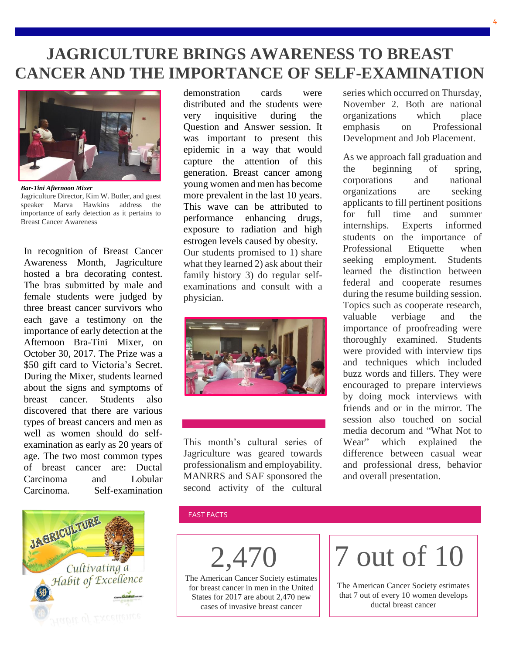#### **JAGRICULTURE BRINGS AWARENESS TO BREAST CANCER AND THE IMPORTANCE OF SELF-EXAMINATION**



*Bar-Tini Afternoon Mixer* Jagriculture Director, Kim W. Butler, and guest speaker Marva Hawkins address the importance of early detection as it pertains to Breast Cancer Awareness

In recognition of Breast Cancer Awareness Month, Jagriculture hosted a bra decorating contest. The bras submitted by male and female students were judged by three breast cancer survivors who each gave a testimony on the importance of early detection at the Afternoon Bra-Tini Mixer, on October 30, 2017. The Prize was a \$50 gift card to Victoria's Secret. During the Mixer, students learned about the signs and symptoms of breast cancer. Students also discovered that there are various types of breast cancers and men as well as women should do selfexamination as early as 20 years of age. The two most common types of breast cancer are: Ductal Carcinoma and Lobular Carcinoma. Self-examination



demonstration cards were distributed and the students were very inquisitive during the Question and Answer session. It was important to present this epidemic in a way that would capture the attention of this generation. Breast cancer among young women and men has become more prevalent in the last 10 years. This wave can be attributed to performance enhancing drugs, exposure to radiation and high estrogen levels caused by obesity. Our students promised to 1) share what they learned 2) ask about their family history 3) do regular selfexaminations and consult with a physician.



This month's cultural series of Jagriculture was geared towards professionalism and employability. MANRRS and SAF sponsored the second activity of the cultural

series which occurred on Thursday, November 2. Both are national organizations which place emphasis on Professional Development and Job Placement.

As we approach fall graduation and the beginning of spring, corporations and national organizations are seeking applicants to fill pertinent positions for full time and summer internships. Experts informed students on the importance of Professional Etiquette when seeking employment. Students learned the distinction between federal and cooperate resumes during the resume building session. Topics such as cooperate research, valuable verbiage and the importance of proofreading were thoroughly examined. Students were provided with interview tips and techniques which included buzz words and fillers. They were encouraged to prepare interviews by doing mock interviews with friends and or in the mirror. The session also touched on social media decorum and "What Not to Wear" which explained the difference between casual wear and professional dress, behavior and overall presentation.

#### FAST FACTS

2,47

The American Cancer Society estimates for breast cancer in men in the United States for 2017 are about 2,470 new cases of invasive breast cancer

# 7 out of 10

The American Cancer Society estimates that 7 out of every 10 women develops ductal breast cancer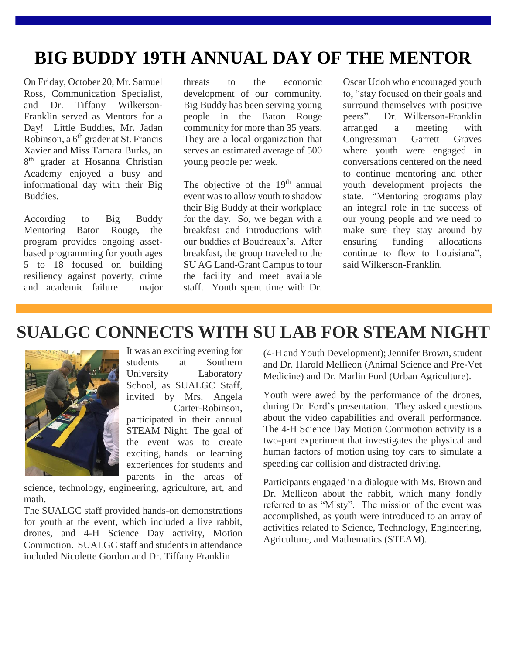## **BIG BUDDY 19TH ANNUAL DAY OF THE MENTOR**

On Friday, October 20, Mr. Samuel Ross, Communication Specialist, and Dr. Tiffany Wilkerson-Franklin served as Mentors for a Day! Little Buddies, Mr. Jadan Robinson, a 6<sup>th</sup> grader at St. Francis Xavier and Miss Tamara Burks, an 8<sup>th</sup> grader at Hosanna Christian Academy enjoyed a busy and informational day with their Big Buddies.

According to Big Buddy Mentoring Baton Rouge, the program provides ongoing assetbased programming for youth ages 5 to 18 focused on building resiliency against poverty, crime and academic failure – major threats to the economic development of our community. Big Buddy has been serving young people in the Baton Rouge community for more than 35 years. They are a local organization that serves an estimated average of 500 young people per week.

The objective of the 19<sup>th</sup> annual event was to allow youth to shadow their Big Buddy at their workplace for the day. So, we began with a breakfast and introductions with our buddies at Boudreaux's. After breakfast, the group traveled to the SU AG Land-Grant Campus to tour the facility and meet available staff. Youth spent time with Dr. Oscar Udoh who encouraged youth to, "stay focused on their goals and surround themselves with positive peers". Dr. Wilkerson-Franklin arranged a meeting with Congressman Garrett Graves where youth were engaged in conversations centered on the need to continue mentoring and other youth development projects the state. "Mentoring programs play an integral role in the success of our young people and we need to make sure they stay around by ensuring funding allocations continue to flow to Louisiana", said Wilkerson-Franklin.

#### **SUALGC CONNECTS WITH SU LAB FOR STEAM NIGHT**



It was an exciting evening for students at Southern University Laboratory School, as SUALGC Staff, invited by Mrs. Angela Carter-Robinson, participated in their annual STEAM Night. The goal of the event was to create exciting, hands –on learning experiences for students and

parents in the areas of

science, technology, engineering, agriculture, art, and math.

The SUALGC staff provided hands-on demonstrations for youth at the event, which included a live rabbit, drones, and 4-H Science Day activity, Motion Commotion. SUALGC staff and students in attendance included Nicolette Gordon and Dr. Tiffany Franklin

(4-H and Youth Development); Jennifer Brown, student and Dr. Harold Mellieon (Animal Science and Pre-Vet Medicine) and Dr. Marlin Ford (Urban Agriculture).

Youth were awed by the performance of the drones, during Dr. Ford's presentation. They asked questions about the video capabilities and overall performance. The 4-H Science Day Motion Commotion activity is a two-part experiment that investigates the physical and human factors of motion using toy cars to simulate a speeding car collision and distracted driving.

Participants engaged in a dialogue with Ms. Brown and Dr. Mellieon about the rabbit, which many fondly referred to as "Misty". The mission of the event was accomplished, as youth were introduced to an array of activities related to Science, Technology, Engineering, Agriculture, and Mathematics (STEAM).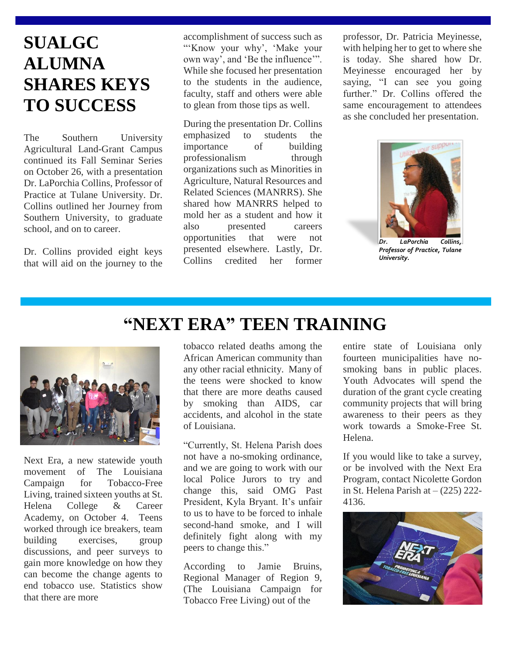### **SUALGC ALUMNA SHARES KEYS TO SUCCESS**

The Southern University Agricultural Land-Grant Campus continued its Fall Seminar Series on October 26, with a presentation Dr. LaPorchia Collins, Professor of Practice at Tulane University. Dr. Collins outlined her Journey from Southern University, to graduate school, and on to career.

Dr. Collins provided eight keys that will aid on the journey to the

accomplishment of success such as "'Know your why', 'Make your own way', and 'Be the influence'". While she focused her presentation to the students in the audience, faculty, staff and others were able to glean from those tips as well.

During the presentation Dr. Collins emphasized to students the importance of building professionalism through organizations such as Minorities in Agriculture, Natural Resources and Related Sciences (MANRRS). She shared how MANRRS helped to mold her as a student and how it also presented careers opportunities that were not presented elsewhere. Lastly, Dr. Collins credited her former

professor, Dr. Patricia Meyinesse, with helping her to get to where she is today. She shared how Dr. Meyinesse encouraged her by saying, "I can see you going further." Dr. Collins offered the same encouragement to attendees as she concluded her presentation.



LaPorchia Collins, *Professor of Practice, Tulane University.*

Next Era, a new statewide youth movement of The Louisiana Campaign for Tobacco-Free Living, trained sixteen youths at St. Helena College & Career Academy, on October 4. Teens worked through ice breakers, team building exercises, group discussions, and peer surveys to gain more knowledge on how they can become the change agents to end tobacco use. Statistics show that there are more

#### **"NEXT ERA" TEEN TRAINING**

tobacco related deaths among the African American community than any other racial ethnicity. Many of the teens were shocked to know that there are more deaths caused by smoking than AIDS, car accidents, and alcohol in the state of Louisiana.

"Currently, St. Helena Parish does not have a no-smoking ordinance, and we are going to work with our local Police Jurors to try and change this, said OMG Past President, Kyla Bryant. It's unfair to us to have to be forced to inhale second-hand smoke, and I will definitely fight along with my peers to change this."

According to Jamie Bruins, Regional Manager of Region 9, (The Louisiana Campaign for Tobacco Free Living) out of the

entire state of Louisiana only fourteen municipalities have nosmoking bans in public places. Youth Advocates will spend the duration of the grant cycle creating community projects that will bring awareness to their peers as they work towards a Smoke-Free St. Helena.

If you would like to take a survey, or be involved with the Next Era Program, contact Nicolette Gordon in St. Helena Parish at  $-$  (225) 222-4136.

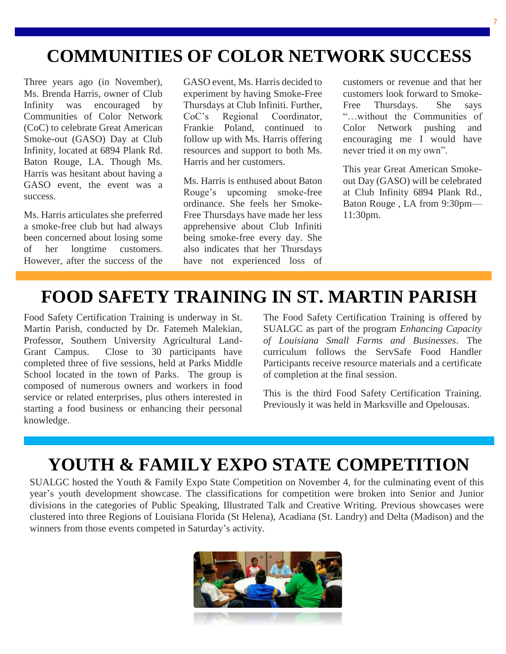### **COMMUNITIES OF COLOR NETWORK SUCCESS**

Three years ago (in November), Ms. Brenda Harris, owner of Club Infinity was encouraged by Communities of Color Network (CoC) to celebrate Great American Smoke-out (GASO) Day at Club Infinity, located at 6894 Plank Rd. Baton Rouge, LA. Though Ms. Harris was hesitant about having a GASO event, the event was a success.

Ms. Harris articulates she preferred a smoke-free club but had always been concerned about losing some of her longtime customers. However, after the success of the

GASO event, Ms. Harris decided to experiment by having Smoke-Free Thursdays at Club Infiniti. Further, CoC's Regional Coordinator, Frankie Poland, continued to follow up with Ms. Harris offering resources and support to both Ms. Harris and her customers.

Ms. Harris is enthused about Baton Rouge's upcoming smoke-free ordinance. She feels her Smoke-Free Thursdays have made her less apprehensive about Club Infiniti being smoke-free every day. She also indicates that her Thursdays have not experienced loss of customers or revenue and that her customers look forward to Smoke-Free Thursdays. She says "…without the Communities of Color Network pushing and encouraging me I would have never tried it on my own".

This year Great American Smokeout Day (GASO) will be celebrated at Club Infinity 6894 Plank Rd., Baton Rouge , LA from 9:30pm— 11:30pm.

#### **FOOD SAFETY TRAINING IN ST. MARTIN PARISH**

Food Safety Certification Training is underway in St. Martin Parish, conducted by Dr. Fatemeh Malekian, Professor, Southern University Agricultural Land-Grant Campus. Close to 30 participants have completed three of five sessions, held at Parks Middle School located in the town of Parks. The group is composed of numerous owners and workers in food service or related enterprises, plus others interested in starting a food business or enhancing their personal knowledge.

The Food Safety Certification Training is offered by SUALGC as part of the program *Enhancing Capacity of Louisiana Small Farms and Businesses*. The curriculum follows the ServSafe Food Handler Participants receive resource materials and a certificate of completion at the final session.

This is the third Food Safety Certification Training. Previously it was held in Marksville and Opelousas.

#### **YOUTH & FAMILY EXPO STATE COMPETITION**

SUALGC hosted the Youth & Family Expo State Competition on November 4, for the culminating event of this year's youth development showcase. The classifications for competition were broken into Senior and Junior divisions in the categories of Public Speaking, Illustrated Talk and Creative Writing. Previous showcases were clustered into three Regions of Louisiana Florida (St Helena), Acadiana (St. Landry) and Delta (Madison) and the winners from those events competed in Saturday's activity.